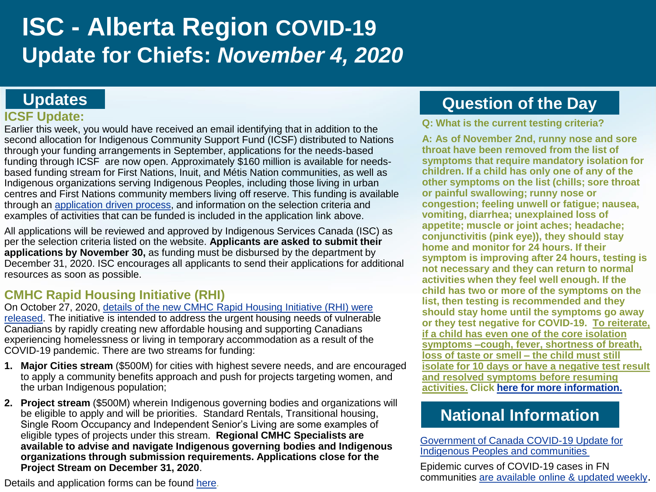# **ISC - Alberta Region COVID-19 Update for Chiefs:** *November 4, 2020*

## **Updates**

### **ICSF Update:**

Earlier this week, you would have received an email identifying that in addition to the second allocation for Indigenous Community Support Fund (ICSF) distributed to Nations through your funding arrangements in September, applications for the needs-based funding through ICSF are now open. Approximately \$160 million is available for needsbased funding stream for First Nations, Inuit, and Métis Nation communities, as well as Indigenous organizations serving Indigenous Peoples, including those living in urban centres and First Nations community members living off reserve. This funding is available through an [application driven process,](https://www.sac-isc.gc.ca/eng/1603990521589/1603990645077) and information on the selection criteria and examples of activities that can be funded is included in the application link above.

All applications will be reviewed and approved by Indigenous Services Canada (ISC) as per the selection criteria listed on the website. **Applicants are asked to submit their applications by November 30,** as funding must be disbursed by the department by December 31, 2020. ISC encourages all applicants to send their applications for additional resources as soon as possible.

### **CMHC Rapid Housing Initiative (RHI)**

On October 27, 2020, details of the new CMHC Rapid Housing Initiative (RHI) were [released. The initiative is intended to address the urgent housing needs of vulnerabl](https://pm.gc.ca/en/news/news-releases/2020/10/27/new-rapid-housing-initiative-create-3000-new-homes-canadians)e Canadians by rapidly creating new affordable housing and supporting Canadians experiencing homelessness or living in temporary accommodation as a result of the COVID-19 pandemic. There are two streams for funding:

- **1. Major Cities stream** (\$500M) for cities with highest severe needs, and are encouraged to apply a community benefits approach and push for projects targeting women, and the urban Indigenous population;
- **2. Project stream** (\$500M) wherein Indigenous governing bodies and organizations will be eligible to apply and will be priorities. Standard Rentals, Transitional housing, Single Room Occupancy and Independent Senior's Living are some examples of eligible types of projects under this stream. **Regional CMHC Specialists are available to advise and navigate Indigenous governing bodies and Indigenous organizations through submission requirements. Applications close for the Project Stream on December 31, 2020**.

# **Question of the Day**

**Q: What is the current testing criteria?**

**A: As of November 2nd, runny nose and sore throat have been removed from the list of symptoms that require mandatory isolation for children. If a child has only one of any of the other symptoms on the list (chills; sore throat or painful swallowing; runny nose or congestion; feeling unwell or fatigue; nausea, vomiting, diarrhea; unexplained loss of appetite; muscle or joint aches; headache; conjunctivitis (pink eye)), they should stay home and monitor for 24 hours. If their symptom is improving after 24 hours, testing is not necessary and they can return to normal activities when they feel well enough. If the child has two or more of the symptoms on the list, then testing is recommended and they should stay home until the symptoms go away or they test negative for COVID-19. To reiterate, if a child has even one of the core isolation symptoms –cough, fever, shortness of breath, loss of taste or smell – the child must still isolate for 10 days or have a negative test result and resolved symptoms before resuming activities. Click [here for more information.](https://www.albertahealthservices.ca/assets/info/ppih/if-ppih-covid-19-school-journey-a-symptoms.pdf)**

# **National Information**

[Government of Canada COVID-19 Update for](https://www.canada.ca/en/indigenous-services-canada/news/2020/10/government-of-canada-covid-19-update-for-indigenous-peoples-and-communities3.html)  Indigenous Peoples and communities

Epidemic curves of COVID-19 cases in FN communities [are available online & updated weekly](https://www.sac-isc.gc.ca/eng/1589895506010/1589895527965).

Details and application forms can be found [here](https://www.cmhc-schl.gc.ca/en/nhs/rapid-housing-initiative).